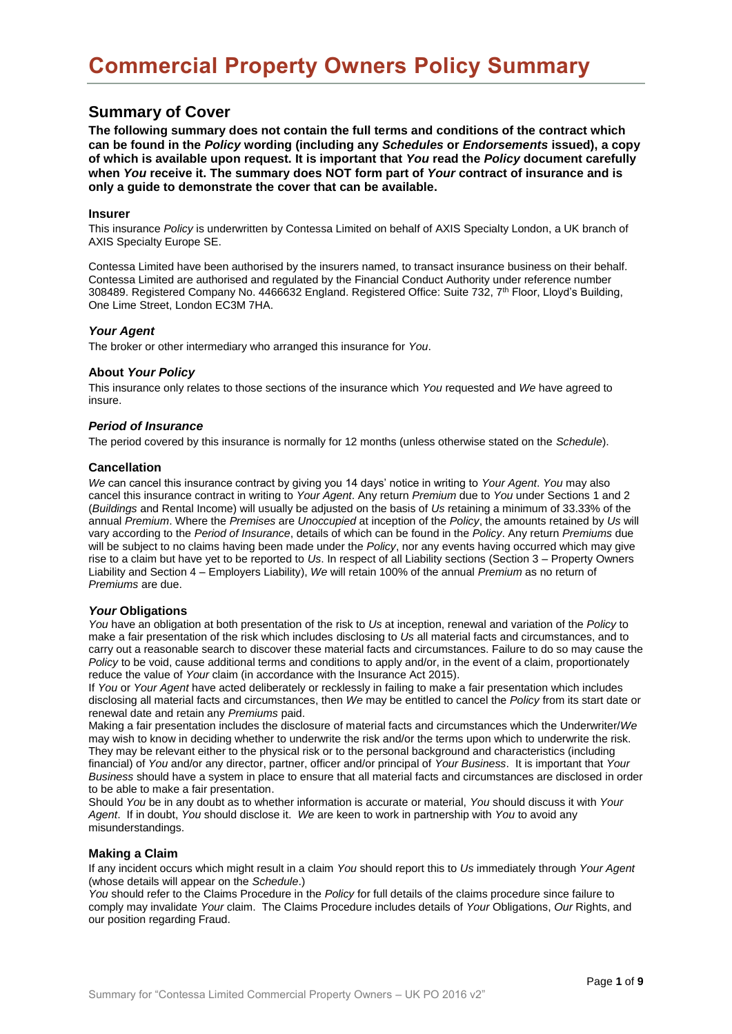# **Summary of Cover**

**The following summary does not contain the full terms and conditions of the contract which can be found in the** *Policy* **wording (including any** *Schedules* **or** *Endorsements* **issued), a copy of which is available upon request. It is important that** *You* **read the** *Policy* **document carefully when** *You* **receive it. The summary does NOT form part of** *Your* **contract of insurance and is only a guide to demonstrate the cover that can be available.** 

#### **Insurer**

This insurance *Policy* is underwritten by Contessa Limited on behalf of AXIS Specialty London, a UK branch of AXIS Specialty Europe SE.

Contessa Limited have been authorised by the insurers named, to transact insurance business on their behalf. Contessa Limited are authorised and regulated by the Financial Conduct Authority under reference number 308489. Registered Company No. 4466632 England. Registered Office: Suite 732, 7th Floor, Lloyd's Building, One Lime Street, London EC3M 7HA.

### *Your Agent*

The broker or other intermediary who arranged this insurance for *You*.

## **About** *Your Policy*

This insurance only relates to those sections of the insurance which *You* requested and *We* have agreed to insure.

### *Period of Insurance*

The period covered by this insurance is normally for 12 months (unless otherwise stated on the *Schedule*).

### **Cancellation**

*We* can cancel this insurance contract by giving you 14 days' notice in writing to *Your Agent*. *You* may also cancel this insurance contract in writing to *Your Agent*. Any return *Premium* due to *You* under Sections 1 and 2 (*Buildings* and Rental Income) will usually be adjusted on the basis of *Us* retaining a minimum of 33.33% of the annual *Premium*. Where the *Premises* are *Unoccupied* at inception of the *Policy*, the amounts retained by *Us* will vary according to the *Period of Insurance*, details of which can be found in the *Policy*. Any return *Premiums* due will be subject to no claims having been made under the *Policy*, nor any events having occurred which may give rise to a claim but have yet to be reported to *Us*. In respect of all Liability sections (Section 3 – Property Owners Liability and Section 4 – Employers Liability), *We* will retain 100% of the annual *Premium* as no return of *Premiums* are due.

## *Your* **Obligations**

*You* have an obligation at both presentation of the risk to *Us* at inception, renewal and variation of the *Policy* to make a fair presentation of the risk which includes disclosing to *Us* all material facts and circumstances, and to carry out a reasonable search to discover these material facts and circumstances. Failure to do so may cause the *Policy* to be void, cause additional terms and conditions to apply and/or, in the event of a claim, proportionately reduce the value of *Your* claim (in accordance with the Insurance Act 2015).

If *You* or *Your Agent* have acted deliberately or recklessly in failing to make a fair presentation which includes disclosing all material facts and circumstances, then *We* may be entitled to cancel the *Policy* from its start date or renewal date and retain any *Premiums* paid.

Making a fair presentation includes the disclosure of material facts and circumstances which the Underwriter/*We* may wish to know in deciding whether to underwrite the risk and/or the terms upon which to underwrite the risk. They may be relevant either to the physical risk or to the personal background and characteristics (including financial) of *You* and/or any director, partner, officer and/or principal of *Your Business*. It is important that *Your Business* should have a system in place to ensure that all material facts and circumstances are disclosed in order to be able to make a fair presentation.

Should *You* be in any doubt as to whether information is accurate or material, *You* should discuss it with *Your Agent*. If in doubt, *You* should disclose it. *We* are keen to work in partnership with *You* to avoid any misunderstandings.

## **Making a Claim**

If any incident occurs which might result in a claim *You* should report this to *Us* immediately through *Your Agent* (whose details will appear on the *Schedule*.)

*You* should refer to the Claims Procedure in the *Policy* for full details of the claims procedure since failure to comply may invalidate *Your* claim. The Claims Procedure includes details of *Your* Obligations, *Our* Rights, and our position regarding Fraud.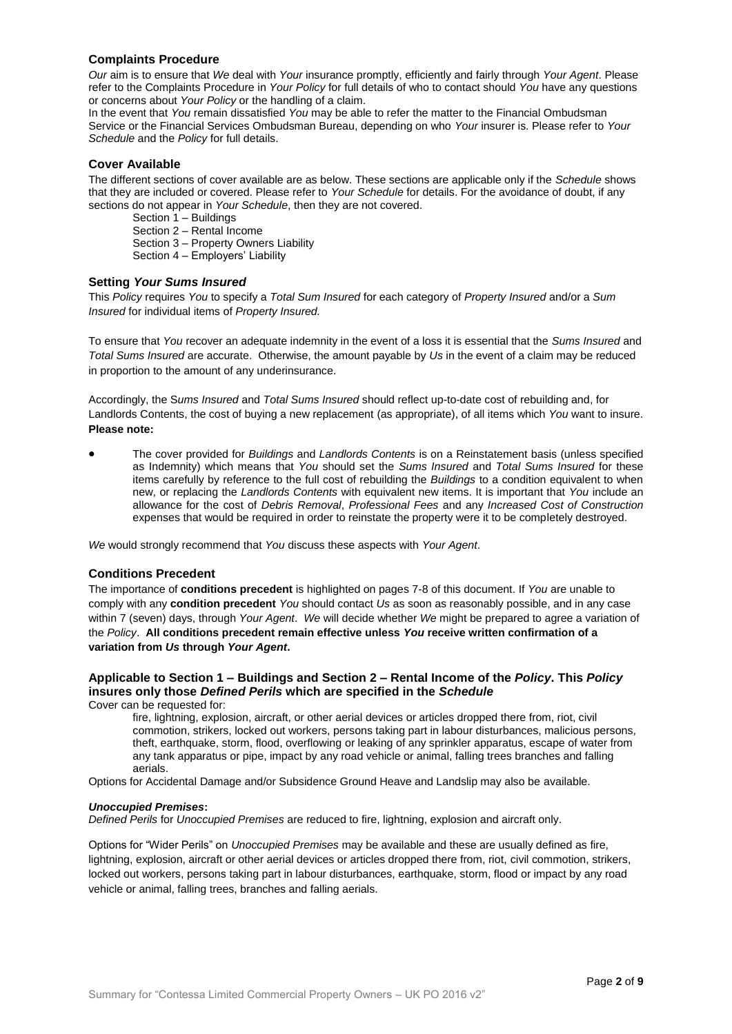## **Complaints Procedure**

*Our* aim is to ensure that *We* deal with *Your* insurance promptly, efficiently and fairly through *Your Agent*. Please refer to the Complaints Procedure in *Your Policy* for full details of who to contact should *You* have any questions or concerns about *Your Policy* or the handling of a claim.

In the event that *You* remain dissatisfied *You* may be able to refer the matter to the Financial Ombudsman Service or the Financial Services Ombudsman Bureau, depending on who *Your* insurer is. Please refer to *Your Schedule* and the *Policy* for full details.

## **Cover Available**

The different sections of cover available are as below. These sections are applicable only if the *Schedule* shows that they are included or covered. Please refer to *Your Schedule* for details. For the avoidance of doubt, if any sections do not appear in *Your Schedule*, then they are not covered.

Section 1 – Buildings Section 2 – Rental Income Section 3 – Property Owners Liability

Section 4 – Employers' Liability

### **Setting** *Your Sums Insured*

This *Policy* requires *You* to specify a *Total Sum Insured* for each category of *Property Insured* and/or a *Sum Insured* for individual items of *Property Insured.* 

To ensure that *You* recover an adequate indemnity in the event of a loss it is essential that the *Sums Insured* and *Total Sums Insured* are accurate. Otherwise, the amount payable by *Us* in the event of a claim may be reduced in proportion to the amount of any underinsurance.

Accordingly, the S*ums Insured* and *Total Sums Insured* should reflect up-to-date cost of rebuilding and, for Landlords Contents, the cost of buying a new replacement (as appropriate), of all items which *You* want to insure. **Please note:** 

• The cover provided for *Buildings* and *Landlords Contents* is on a Reinstatement basis (unless specified as Indemnity) which means that *You* should set the *Sums Insured* and *Total Sums Insured* for these items carefully by reference to the full cost of rebuilding the *Buildings* to a condition equivalent to when new, or replacing the *Landlords Contents* with equivalent new items. It is important that *You* include an allowance for the cost of *Debris Removal*, *Professional Fees* and any *Increased Cost of Construction*  expenses that would be required in order to reinstate the property were it to be completely destroyed.

*We* would strongly recommend that *You* discuss these aspects with *Your Agent*.

#### **Conditions Precedent**

The importance of **conditions precedent** is highlighted on pages 7-8 of this document. If *You* are unable to comply with any **condition precedent** *You* should contact *Us* as soon as reasonably possible, and in any case within 7 (seven) days, through *Your Agent*. *We* will decide whether *We* might be prepared to agree a variation of the *Policy*. **All conditions precedent remain effective unless** *You* **receive written confirmation of a variation from** *Us* **through** *Your Agent***.**

# **Applicable to Section 1 – Buildings and Section 2 – Rental Income of the** *Policy***. This** *Policy* **insures only those** *Defined Perils* **which are specified in the** *Schedule*

Cover can be requested for:

fire, lightning, explosion, aircraft, or other aerial devices or articles dropped there from, riot, civil commotion, strikers, locked out workers, persons taking part in labour disturbances, malicious persons, theft, earthquake, storm, flood, overflowing or leaking of any sprinkler apparatus, escape of water from any tank apparatus or pipe, impact by any road vehicle or animal, falling trees branches and falling aerials.

Options for Accidental Damage and/or Subsidence Ground Heave and Landslip may also be available.

#### *Unoccupied Premises***:**

*Defined Perils* for *Unoccupied Premises* are reduced to fire, lightning, explosion and aircraft only.

Options for "Wider Perils" on *Unoccupied Premises* may be available and these are usually defined as fire, lightning, explosion, aircraft or other aerial devices or articles dropped there from, riot, civil commotion, strikers, locked out workers, persons taking part in labour disturbances, earthquake, storm, flood or impact by any road vehicle or animal, falling trees, branches and falling aerials.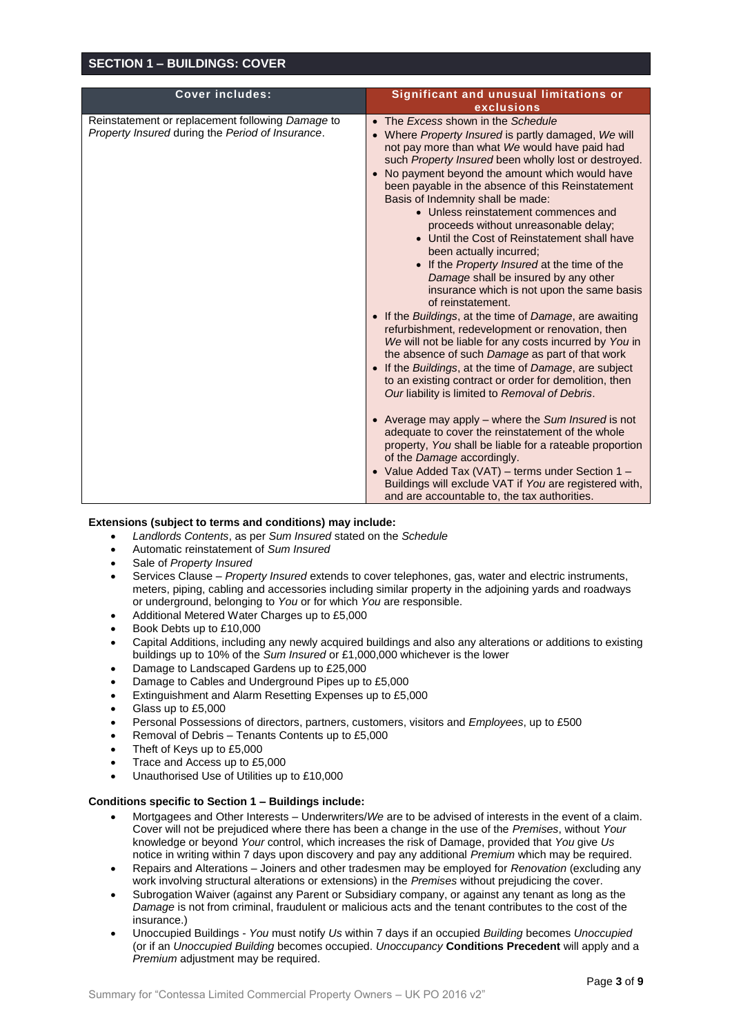## **SECTION 1 – BUILDINGS: COVER**

| <b>Cover includes:</b>                                                                               | Significant and unusual limitations or                                                                                                                                                                                                                                                                                                                                                                                                                                                                                                                                                                                                                                                                                                                                                                                                                                                                                                                                                                                                                                                                                                                                   |
|------------------------------------------------------------------------------------------------------|--------------------------------------------------------------------------------------------------------------------------------------------------------------------------------------------------------------------------------------------------------------------------------------------------------------------------------------------------------------------------------------------------------------------------------------------------------------------------------------------------------------------------------------------------------------------------------------------------------------------------------------------------------------------------------------------------------------------------------------------------------------------------------------------------------------------------------------------------------------------------------------------------------------------------------------------------------------------------------------------------------------------------------------------------------------------------------------------------------------------------------------------------------------------------|
|                                                                                                      | exclusions                                                                                                                                                                                                                                                                                                                                                                                                                                                                                                                                                                                                                                                                                                                                                                                                                                                                                                                                                                                                                                                                                                                                                               |
| Reinstatement or replacement following Damage to<br>Property Insured during the Period of Insurance. | • The Excess shown in the Schedule<br>Where Property Insured is partly damaged, We will<br>not pay more than what We would have paid had<br>such Property Insured been wholly lost or destroyed.<br>No payment beyond the amount which would have<br>been payable in the absence of this Reinstatement<br>Basis of Indemnity shall be made:<br>• Unless reinstatement commences and<br>proceeds without unreasonable delay;<br>• Until the Cost of Reinstatement shall have<br>been actually incurred;<br>• If the Property Insured at the time of the<br>Damage shall be insured by any other<br>insurance which is not upon the same basis<br>of reinstatement.<br>If the Buildings, at the time of Damage, are awaiting<br>refurbishment, redevelopment or renovation, then<br>We will not be liable for any costs incurred by You in<br>the absence of such Damage as part of that work<br>If the Buildings, at the time of Damage, are subject<br>to an existing contract or order for demolition, then<br>Our liability is limited to Removal of Debris.<br>• Average may apply – where the Sum Insured is not<br>adequate to cover the reinstatement of the whole |
|                                                                                                      | property, You shall be liable for a rateable proportion<br>of the Damage accordingly.                                                                                                                                                                                                                                                                                                                                                                                                                                                                                                                                                                                                                                                                                                                                                                                                                                                                                                                                                                                                                                                                                    |
|                                                                                                      | • Value Added Tax (VAT) - terms under Section 1 -<br>Buildings will exclude VAT if You are registered with,<br>and are accountable to, the tax authorities.                                                                                                                                                                                                                                                                                                                                                                                                                                                                                                                                                                                                                                                                                                                                                                                                                                                                                                                                                                                                              |

#### **Extensions (subject to terms and conditions) may include:**

- *Landlords Contents*, as per *Sum Insured* stated on the *Schedule*
- Automatic reinstatement of *Sum Insured*
- Sale of *Property Insured*
- Services Clause *Property Insured* extends to cover telephones, gas, water and electric instruments, meters, piping, cabling and accessories including similar property in the adjoining yards and roadways or underground, belonging to *You* or for which *You* are responsible.
- Additional Metered Water Charges up to £5,000
- Book Debts up to £10,000
- Capital Additions, including any newly acquired buildings and also any alterations or additions to existing buildings up to 10% of the *Sum Insured* or £1,000,000 whichever is the lower
- Damage to Landscaped Gardens up to £25,000
- Damage to Cables and Underground Pipes up to £5,000
- Extinguishment and Alarm Resetting Expenses up to £5,000
- Glass up to £5,000
- Personal Possessions of directors, partners, customers, visitors and *Employees*, up to £500
- Removal of Debris Tenants Contents up to £5,000
- Theft of Keys up to £5,000
- Trace and Access up to £5,000
- Unauthorised Use of Utilities up to £10,000

#### **Conditions specific to Section 1 – Buildings include:**

- Mortgagees and Other Interests Underwriters/*We* are to be advised of interests in the event of a claim. Cover will not be prejudiced where there has been a change in the use of the *Premises*, without *Your*  knowledge or beyond *Your* control, which increases the risk of Damage, provided that *You* give *Us* notice in writing within 7 days upon discovery and pay any additional *Premium* which may be required.
- Repairs and Alterations Joiners and other tradesmen may be employed for *Renovation* (excluding any work involving structural alterations or extensions) in the *Premises* without prejudicing the cover.
- Subrogation Waiver (against any Parent or Subsidiary company, or against any tenant as long as the *Damage* is not from criminal, fraudulent or malicious acts and the tenant contributes to the cost of the insurance.)
- Unoccupied Buildings *You* must notify *Us* within 7 days if an occupied *Building* becomes *Unoccupied*  (or if an *Unoccupied Building* becomes occupied. *Unoccupancy* **Conditions Precedent** will apply and a *Premium* adjustment may be required.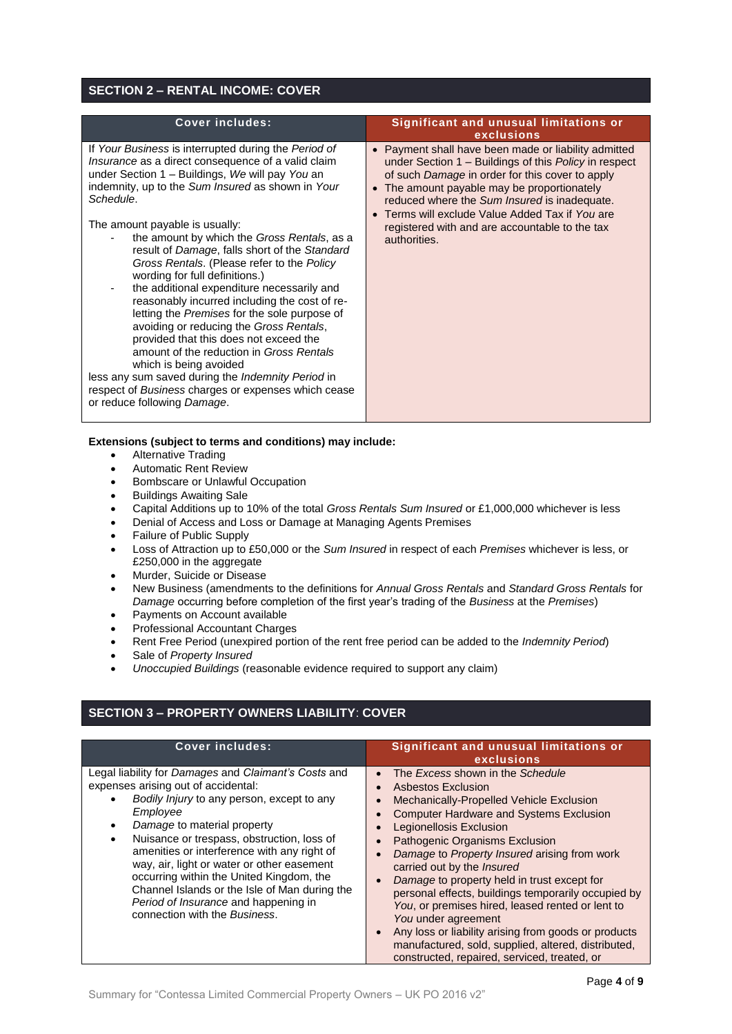# **SECTION 2 – RENTAL INCOME: COVER**

| <b>Cover includes:</b>                                                                                                                                                                                                                                                                                                                                                                                                                                                                                                                                                                                                                                                                                                                                                                                                                                                                                 | Significant and unusual limitations or<br>exclusions                                                                                                                                                                                                                                                                                                                               |
|--------------------------------------------------------------------------------------------------------------------------------------------------------------------------------------------------------------------------------------------------------------------------------------------------------------------------------------------------------------------------------------------------------------------------------------------------------------------------------------------------------------------------------------------------------------------------------------------------------------------------------------------------------------------------------------------------------------------------------------------------------------------------------------------------------------------------------------------------------------------------------------------------------|------------------------------------------------------------------------------------------------------------------------------------------------------------------------------------------------------------------------------------------------------------------------------------------------------------------------------------------------------------------------------------|
| If Your Business is interrupted during the Period of<br>Insurance as a direct consequence of a valid claim<br>under Section 1 - Buildings, We will pay You an<br>indemnity, up to the Sum Insured as shown in Your<br>Schedule.<br>The amount payable is usually:<br>the amount by which the Gross Rentals, as a<br>result of Damage, falls short of the Standard<br>Gross Rentals. (Please refer to the Policy<br>wording for full definitions.)<br>the additional expenditure necessarily and<br>reasonably incurred including the cost of re-<br>letting the Premises for the sole purpose of<br>avoiding or reducing the Gross Rentals,<br>provided that this does not exceed the<br>amount of the reduction in Gross Rentals<br>which is being avoided<br>less any sum saved during the Indemnity Period in<br>respect of Business charges or expenses which cease<br>or reduce following Damage. | • Payment shall have been made or liability admitted<br>under Section 1 - Buildings of this Policy in respect<br>of such Damage in order for this cover to apply<br>• The amount payable may be proportionately<br>reduced where the Sum Insured is inadequate.<br>Terms will exclude Value Added Tax if You are<br>registered with and are accountable to the tax<br>authorities. |
| $\sim$ 1. The state of the state of the state of the state of the state of the state of the state of the state of the state of the state of the state of the state of the state of the state of the state of the state of the s                                                                                                                                                                                                                                                                                                                                                                                                                                                                                                                                                                                                                                                                        |                                                                                                                                                                                                                                                                                                                                                                                    |

- **Extensions (subject to terms and conditions) may include:**
	- Alternative Trading
	- Automatic Rent Review
	- Bombscare or Unlawful Occupation
	- Buildings Awaiting Sale
	- Capital Additions up to 10% of the total *Gross Rentals Sum Insured* or £1,000,000 whichever is less
	- Denial of Access and Loss or Damage at Managing Agents Premises
	- Failure of Public Supply
	- Loss of Attraction up to £50,000 or the *Sum Insured* in respect of each *Premises* whichever is less, or £250,000 in the aggregate
	- Murder, Suicide or Disease
	- New Business (amendments to the definitions for *Annual Gross Rentals* and *Standard Gross Rentals* for *Damage* occurring before completion of the first year's trading of the *Business* at the *Premises*)
	- Payments on Account available
	- Professional Accountant Charges
	- Rent Free Period (unexpired portion of the rent free period can be added to the *Indemnity Period*)
	- Sale of *Property Insured*
	- *Unoccupied Buildings* (reasonable evidence required to support any claim)

# **SECTION 3 – PROPERTY OWNERS LIABILITY**: **COVER**

| <b>Cover includes:</b>                                                                                                                                                                                                                                                                                                                                                                                                                                                                                                  | Significant and unusual limitations or<br>exclusions                                                                                                                                                                                                                                                                                                                                                                                                                                                                                                                                                                                                                                                 |  |
|-------------------------------------------------------------------------------------------------------------------------------------------------------------------------------------------------------------------------------------------------------------------------------------------------------------------------------------------------------------------------------------------------------------------------------------------------------------------------------------------------------------------------|------------------------------------------------------------------------------------------------------------------------------------------------------------------------------------------------------------------------------------------------------------------------------------------------------------------------------------------------------------------------------------------------------------------------------------------------------------------------------------------------------------------------------------------------------------------------------------------------------------------------------------------------------------------------------------------------------|--|
| Legal liability for Damages and Claimant's Costs and<br>expenses arising out of accidental:<br>Bodily Injury to any person, except to any<br>Employee<br>Damage to material property<br>٠<br>Nuisance or trespass, obstruction, loss of<br>$\bullet$<br>amenities or interference with any right of<br>way, air, light or water or other easement<br>occurring within the United Kingdom, the<br>Channel Islands or the Isle of Man during the<br>Period of Insurance and happening in<br>connection with the Business. | The Excess shown in the Schedule<br>$\bullet$<br>Asbestos Exclusion<br>$\bullet$<br>Mechanically-Propelled Vehicle Exclusion<br>$\bullet$<br><b>Computer Hardware and Systems Exclusion</b><br>Legionellosis Exclusion<br><b>Pathogenic Organisms Exclusion</b><br>Damage to Property Insured arising from work<br>carried out by the <i>Insured</i><br>Damage to property held in trust except for<br>personal effects, buildings temporarily occupied by<br>You, or premises hired, leased rented or lent to<br>You under agreement<br>Any loss or liability arising from goods or products<br>manufactured, sold, supplied, altered, distributed,<br>constructed, repaired, serviced, treated, or |  |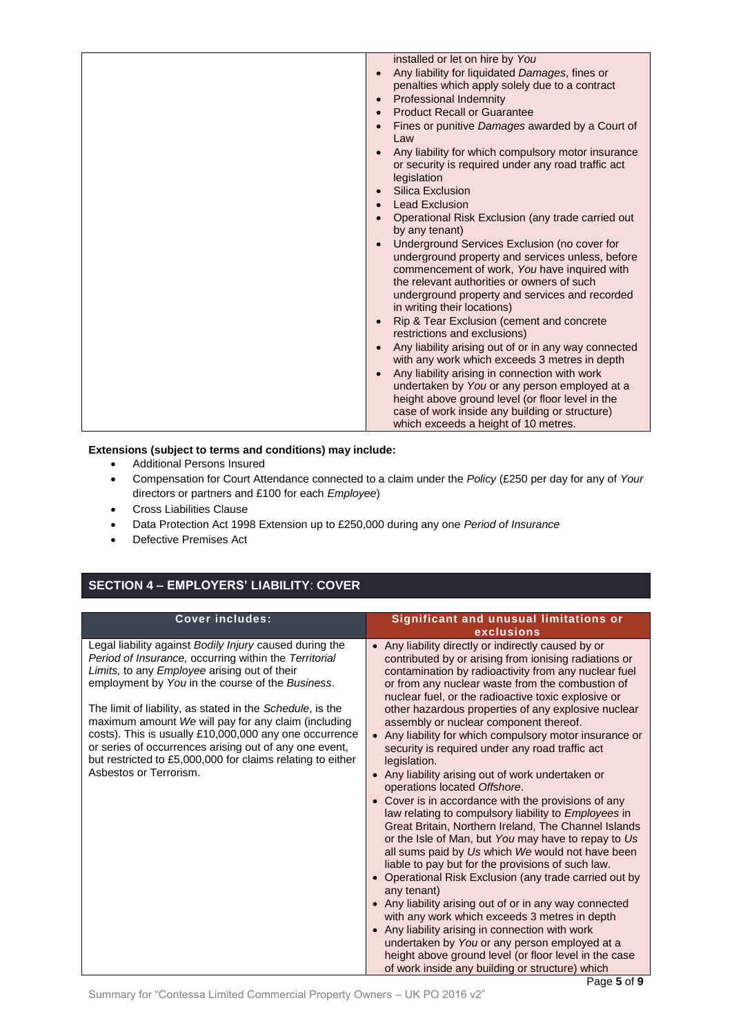## **Extensions (subject to terms and conditions) may include:**

- Additional Persons Insured
- Compensation for Court Attendance connected to a claim under the *Policy* (£250 per day for any of *Your* directors or partners and £100 for each *Employee*)
- Cross Liabilities Clause
- Data Protection Act 1998 Extension up to £250,000 during any one *Period of Insurance*
- Defective Premises Act

# **SECTION 4 – EMPLOYERS' LIABILITY**: **COVER**

| <b>Cover includes:</b>                                                                                                                                                                                                                                                                                                                                                                                                                                                                                                                               | Significant and unusual limitations or<br>exclusions                                                                                                                                                                                                                                                                                                                                                                                                                                                                                                                                                                                                                                                                                                                                                                                                                                                                                                                                                                                                                                                                                                                                                                                                                                                                                   |
|------------------------------------------------------------------------------------------------------------------------------------------------------------------------------------------------------------------------------------------------------------------------------------------------------------------------------------------------------------------------------------------------------------------------------------------------------------------------------------------------------------------------------------------------------|----------------------------------------------------------------------------------------------------------------------------------------------------------------------------------------------------------------------------------------------------------------------------------------------------------------------------------------------------------------------------------------------------------------------------------------------------------------------------------------------------------------------------------------------------------------------------------------------------------------------------------------------------------------------------------------------------------------------------------------------------------------------------------------------------------------------------------------------------------------------------------------------------------------------------------------------------------------------------------------------------------------------------------------------------------------------------------------------------------------------------------------------------------------------------------------------------------------------------------------------------------------------------------------------------------------------------------------|
| Legal liability against Bodily Injury caused during the<br>Period of Insurance, occurring within the Territorial<br>Limits, to any Employee arising out of their<br>employment by You in the course of the Business.<br>The limit of liability, as stated in the Schedule, is the<br>maximum amount We will pay for any claim (including<br>costs). This is usually £10,000,000 any one occurrence<br>or series of occurrences arising out of any one event,<br>but restricted to £5,000,000 for claims relating to either<br>Asbestos or Terrorism. | • Any liability directly or indirectly caused by or<br>contributed by or arising from ionising radiations or<br>contamination by radioactivity from any nuclear fuel<br>or from any nuclear waste from the combustion of<br>nuclear fuel, or the radioactive toxic explosive or<br>other hazardous properties of any explosive nuclear<br>assembly or nuclear component thereof.<br>• Any liability for which compulsory motor insurance or<br>security is required under any road traffic act<br>legislation.<br>• Any liability arising out of work undertaken or<br>operations located Offshore.<br>Cover is in accordance with the provisions of any<br>law relating to compulsory liability to Employees in<br>Great Britain, Northern Ireland, The Channel Islands<br>or the Isle of Man, but You may have to repay to Us<br>all sums paid by Us which We would not have been<br>liable to pay but for the provisions of such law.<br>Operational Risk Exclusion (any trade carried out by<br>any tenant)<br>Any liability arising out of or in any way connected<br>with any work which exceeds 3 metres in depth<br>Any liability arising in connection with work<br>undertaken by You or any person employed at a<br>height above ground level (or floor level in the case<br>of work inside any building or structure) which |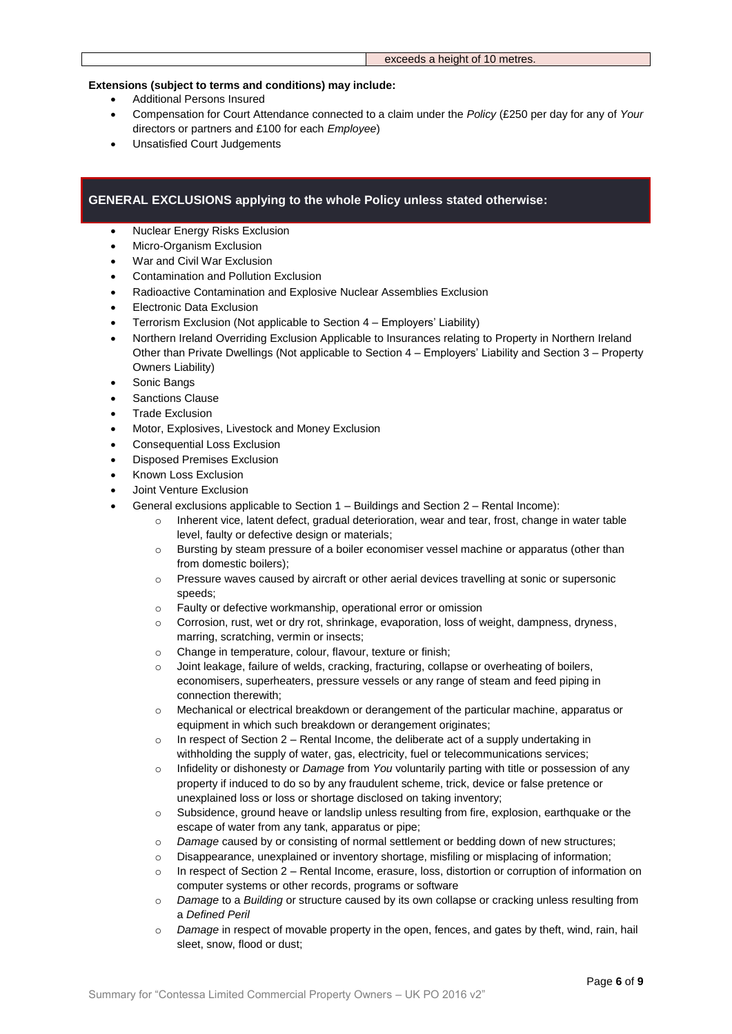#### exceeds a height of 10 metres.

## **Extensions (subject to terms and conditions) may include:**

- Additional Persons Insured
- Compensation for Court Attendance connected to a claim under the *Policy* (£250 per day for any of *Your* directors or partners and £100 for each *Employee*)
- Unsatisfied Court Judgements

## **GENERAL EXCLUSIONS applying to the whole Policy unless stated otherwise:**

- Nuclear Energy Risks Exclusion
- Micro-Organism Exclusion
- War and Civil War Exclusion
- Contamination and Pollution Exclusion
- Radioactive Contamination and Explosive Nuclear Assemblies Exclusion
- Electronic Data Exclusion
- Terrorism Exclusion (Not applicable to Section 4 Employers' Liability)
- Northern Ireland Overriding Exclusion Applicable to Insurances relating to Property in Northern Ireland Other than Private Dwellings (Not applicable to Section 4 – Employers' Liability and Section 3 – Property Owners Liability)
- Sonic Bangs
- Sanctions Clause
- Trade Exclusion
- Motor, Explosives, Livestock and Money Exclusion
- Consequential Loss Exclusion
- Disposed Premises Exclusion
- Known Loss Exclusion
- Joint Venture Exclusion
- General exclusions applicable to Section 1 Buildings and Section 2 Rental Income):
	- o Inherent vice, latent defect, gradual deterioration, wear and tear, frost, change in water table level, faulty or defective design or materials;
	- o Bursting by steam pressure of a boiler economiser vessel machine or apparatus (other than from domestic boilers);
	- o Pressure waves caused by aircraft or other aerial devices travelling at sonic or supersonic speeds:
	- o Faulty or defective workmanship, operational error or omission
	- o Corrosion, rust, wet or dry rot, shrinkage, evaporation, loss of weight, dampness, dryness, marring, scratching, vermin or insects;
	- o Change in temperature, colour, flavour, texture or finish;
	- o Joint leakage, failure of welds, cracking, fracturing, collapse or overheating of boilers, economisers, superheaters, pressure vessels or any range of steam and feed piping in connection therewith;
	- o Mechanical or electrical breakdown or derangement of the particular machine, apparatus or equipment in which such breakdown or derangement originates;
	- o In respect of Section 2 Rental Income, the deliberate act of a supply undertaking in withholding the supply of water, gas, electricity, fuel or telecommunications services;
	- o Infidelity or dishonesty or *Damage* from *You* voluntarily parting with title or possession of any property if induced to do so by any fraudulent scheme, trick, device or false pretence or unexplained loss or loss or shortage disclosed on taking inventory;
	- o Subsidence, ground heave or landslip unless resulting from fire, explosion, earthquake or the escape of water from any tank, apparatus or pipe;
	- o *Damage* caused by or consisting of normal settlement or bedding down of new structures;
	- o Disappearance, unexplained or inventory shortage, misfiling or misplacing of information;
	- o In respect of Section 2 Rental Income, erasure, loss, distortion or corruption of information on computer systems or other records, programs or software
	- o *Damage* to a *Building* or structure caused by its own collapse or cracking unless resulting from a *Defined Peril*
	- Damage in respect of movable property in the open, fences, and gates by theft, wind, rain, hail sleet, snow, flood or dust;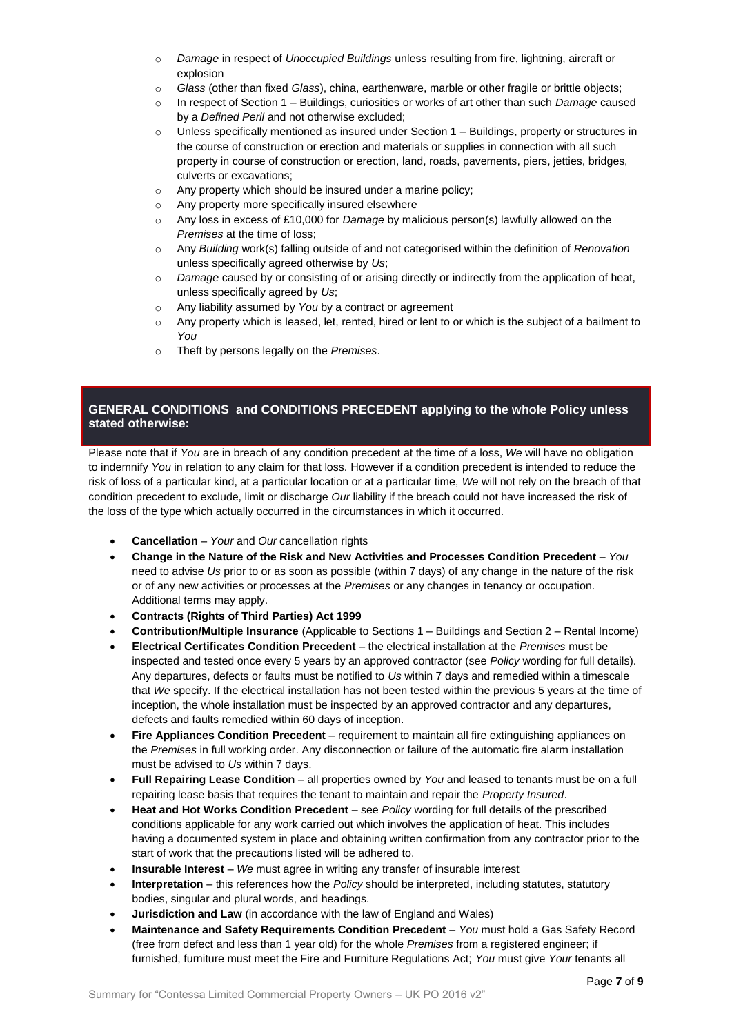- o *Damage* in respect of *Unoccupied Buildings* unless resulting from fire, lightning, aircraft or explosion
- o *Glass* (other than fixed *Glass*), china, earthenware, marble or other fragile or brittle objects;
- o In respect of Section 1 Buildings, curiosities or works of art other than such *Damage* caused by a *Defined Peril* and not otherwise excluded;
- o Unless specifically mentioned as insured under Section 1 Buildings, property or structures in the course of construction or erection and materials or supplies in connection with all such property in course of construction or erection, land, roads, pavements, piers, jetties, bridges, culverts or excavations;
- o Any property which should be insured under a marine policy;
- Any property more specifically insured elsewhere
- Any loss in excess of £10,000 for *Damage* by malicious person(s) lawfully allowed on the *Premises* at the time of loss;
- o Any *Building* work(s) falling outside of and not categorised within the definition of *Renovation*  unless specifically agreed otherwise by *Us*;
- o *Damage* caused by or consisting of or arising directly or indirectly from the application of heat, unless specifically agreed by *Us*;
- o Any liability assumed by *You* by a contract or agreement
- o Any property which is leased, let, rented, hired or lent to or which is the subject of a bailment to *You*
- o Theft by persons legally on the *Premises*.

## **GENERAL CONDITIONS and CONDITIONS PRECEDENT applying to the whole Policy unless stated otherwise:**

Please note that if *You* are in breach of any condition precedent at the time of a loss, *We* will have no obligation to indemnify *You* in relation to any claim for that loss. However if a condition precedent is intended to reduce the risk of loss of a particular kind, at a particular location or at a particular time, *We* will not rely on the breach of that condition precedent to exclude, limit or discharge *Our* liability if the breach could not have increased the risk of the loss of the type which actually occurred in the circumstances in which it occurred.

- **Cancellation** *Your* and *Our* cancellation rights
- **Change in the Nature of the Risk and New Activities and Processes Condition Precedent** *You* need to advise *Us* prior to or as soon as possible (within 7 days) of any change in the nature of the risk or of any new activities or processes at the *Premises* or any changes in tenancy or occupation. Additional terms may apply.
- **Contracts (Rights of Third Parties) Act 1999**
- **Contribution/Multiple Insurance** (Applicable to Sections 1 Buildings and Section 2 Rental Income)
- **Electrical Certificates Condition Precedent** the electrical installation at the *Premises* must be inspected and tested once every 5 years by an approved contractor (see *Policy* wording for full details). Any departures, defects or faults must be notified to *Us* within 7 days and remedied within a timescale that *We* specify. If the electrical installation has not been tested within the previous 5 years at the time of inception, the whole installation must be inspected by an approved contractor and any departures, defects and faults remedied within 60 days of inception.
- **Fire Appliances Condition Precedent** requirement to maintain all fire extinguishing appliances on the *Premises* in full working order. Any disconnection or failure of the automatic fire alarm installation must be advised to *Us* within 7 days.
- **Full Repairing Lease Condition** all properties owned by *You* and leased to tenants must be on a full repairing lease basis that requires the tenant to maintain and repair the *Property Insured*.
- **Heat and Hot Works Condition Precedent** see *Policy* wording for full details of the prescribed conditions applicable for any work carried out which involves the application of heat. This includes having a documented system in place and obtaining written confirmation from any contractor prior to the start of work that the precautions listed will be adhered to.
- **Insurable Interest** *We* must agree in writing any transfer of insurable interest
- **Interpretation** this references how the *Policy* should be interpreted, including statutes, statutory bodies, singular and plural words, and headings.
- **Jurisdiction and Law** (in accordance with the law of England and Wales)
- **Maintenance and Safety Requirements Condition Precedent** *You* must hold a Gas Safety Record (free from defect and less than 1 year old) for the whole *Premises* from a registered engineer; if furnished, furniture must meet the Fire and Furniture Regulations Act; *You* must give *Your* tenants all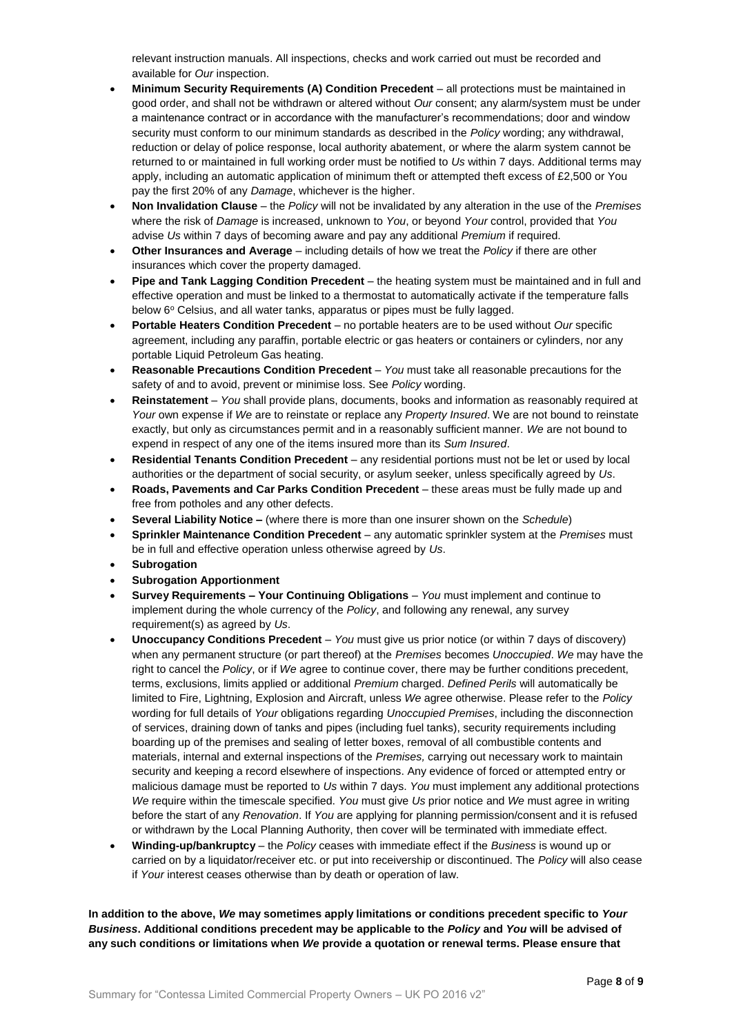relevant instruction manuals. All inspections, checks and work carried out must be recorded and available for *Our* inspection.

- **Minimum Security Requirements (A) Condition Precedent** all protections must be maintained in good order, and shall not be withdrawn or altered without *Our* consent; any alarm/system must be under a maintenance contract or in accordance with the manufacturer's recommendations; door and window security must conform to our minimum standards as described in the *Policy* wording; any withdrawal, reduction or delay of police response, local authority abatement, or where the alarm system cannot be returned to or maintained in full working order must be notified to *Us* within 7 days. Additional terms may apply, including an automatic application of minimum theft or attempted theft excess of £2,500 or You pay the first 20% of any *Damage*, whichever is the higher.
- **Non Invalidation Clause** the *Policy* will not be invalidated by any alteration in the use of the *Premises* where the risk of *Damage* is increased, unknown to *You*, or beyond *Your* control, provided that *You* advise *Us* within 7 days of becoming aware and pay any additional *Premium* if required.
- **Other Insurances and Average** including details of how we treat the *Policy* if there are other insurances which cover the property damaged.
- **Pipe and Tank Lagging Condition Precedent** the heating system must be maintained and in full and effective operation and must be linked to a thermostat to automatically activate if the temperature falls below 6° Celsius, and all water tanks, apparatus or pipes must be fully lagged.
- **Portable Heaters Condition Precedent** no portable heaters are to be used without *Our* specific agreement, including any paraffin, portable electric or gas heaters or containers or cylinders, nor any portable Liquid Petroleum Gas heating.
- **Reasonable Precautions Condition Precedent** *You* must take all reasonable precautions for the safety of and to avoid, prevent or minimise loss. See *Policy* wording.
- **Reinstatement** *You* shall provide plans, documents, books and information as reasonably required at *Your* own expense if *We* are to reinstate or replace any *Property Insured*. We are not bound to reinstate exactly, but only as circumstances permit and in a reasonably sufficient manner. *We* are not bound to expend in respect of any one of the items insured more than its *Sum Insured*.
- **Residential Tenants Condition Precedent** any residential portions must not be let or used by local authorities or the department of social security, or asylum seeker, unless specifically agreed by *Us*.
- **Roads, Pavements and Car Parks Condition Precedent** these areas must be fully made up and free from potholes and any other defects.
- **Several Liability Notice –** (where there is more than one insurer shown on the *Schedule*)
- **Sprinkler Maintenance Condition Precedent** any automatic sprinkler system at the *Premises* must be in full and effective operation unless otherwise agreed by *Us*.
- **Subrogation**
- **Subrogation Apportionment**
- **Survey Requirements – Your Continuing Obligations** *You* must implement and continue to implement during the whole currency of the *Policy*, and following any renewal, any survey requirement(s) as agreed by *Us*.
- **Unoccupancy Conditions Precedent** *You* must give us prior notice (or within 7 days of discovery) when any permanent structure (or part thereof) at the *Premises* becomes *Unoccupied*. *We* may have the right to cancel the *Policy*, or if *We* agree to continue cover, there may be further conditions precedent, terms, exclusions, limits applied or additional *Premium* charged. *Defined Perils* will automatically be limited to Fire, Lightning, Explosion and Aircraft, unless *We* agree otherwise. Please refer to the *Policy* wording for full details of *Your* obligations regarding *Unoccupied Premises*, including the disconnection of services, draining down of tanks and pipes (including fuel tanks), security requirements including boarding up of the premises and sealing of letter boxes, removal of all combustible contents and materials, internal and external inspections of the *Premises,* carrying out necessary work to maintain security and keeping a record elsewhere of inspections. Any evidence of forced or attempted entry or malicious damage must be reported to *Us* within 7 days. *You* must implement any additional protections *We* require within the timescale specified. *You* must give *Us* prior notice and *We* must agree in writing before the start of any *Renovation*. If *You* are applying for planning permission/consent and it is refused or withdrawn by the Local Planning Authority, then cover will be terminated with immediate effect.
- **Winding-up/bankruptcy** the *Policy* ceases with immediate effect if the *Business* is wound up or carried on by a liquidator/receiver etc. or put into receivership or discontinued. The *Policy* will also cease if *Your* interest ceases otherwise than by death or operation of law.

**In addition to the above,** *We* **may sometimes apply limitations or conditions precedent specific to** *Your Business***. Additional conditions precedent may be applicable to the** *Policy* **and** *You* **will be advised of any such conditions or limitations when** *We* **provide a quotation or renewal terms. Please ensure that**